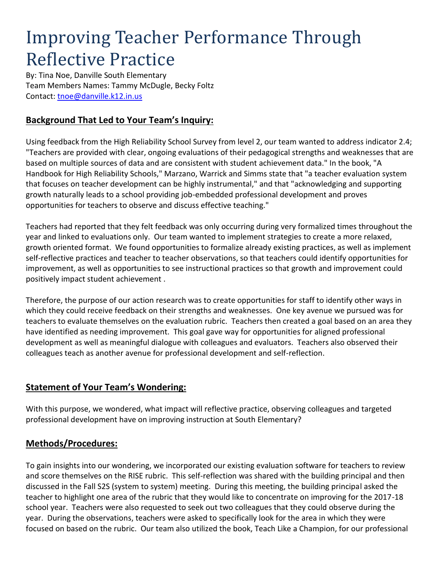# Improving Teacher Performance Through Reflective Practice

By: Tina Noe, Danville South Elementary Team Members Names: Tammy McDugle, Becky Foltz Contact:<tnoe@danville.k12.in.us>

## **Background That Led to Your Team's Inquiry:**

Using feedback from the High Reliability School Survey from level 2, our team wanted to address indicator 2.4; "Teachers are provided with clear, ongoing evaluations of their pedagogical strengths and weaknesses that are based on multiple sources of data and are consistent with student achievement data." In the book, "A Handbook for High Reliability Schools," Marzano, Warrick and Simms state that "a teacher evaluation system that focuses on teacher development can be highly instrumental," and that "acknowledging and supporting growth naturally leads to a school providing job-embedded professional development and proves opportunities for teachers to observe and discuss effective teaching."

Teachers had reported that they felt feedback was only occurring during very formalized times throughout the year and linked to evaluations only. Our team wanted to implement strategies to create a more relaxed, growth oriented format. We found opportunities to formalize already existing practices, as well as implement self-reflective practices and teacher to teacher observations, so that teachers could identify opportunities for improvement, as well as opportunities to see instructional practices so that growth and improvement could positively impact student achievement .

Therefore, the purpose of our action research was to create opportunities for staff to identify other ways in which they could receive feedback on their strengths and weaknesses. One key avenue we pursued was for teachers to evaluate themselves on the evaluation rubric. Teachers then created a goal based on an area they have identified as needing improvement. This goal gave way for opportunities for aligned professional development as well as meaningful dialogue with colleagues and evaluators. Teachers also observed their colleagues teach as another avenue for professional development and self-reflection.

#### **Statement of Your Team's Wondering:**

With this purpose, we wondered, what impact will reflective practice, observing colleagues and targeted professional development have on improving instruction at South Elementary?

#### **Methods/Procedures:**

To gain insights into our wondering, we incorporated our existing evaluation software for teachers to review and score themselves on the RISE rubric. This self-reflection was shared with the building principal and then discussed in the Fall S2S (system to system) meeting. During this meeting, the building principal asked the teacher to highlight one area of the rubric that they would like to concentrate on improving for the 2017-18 school year. Teachers were also requested to seek out two colleagues that they could observe during the year. During the observations, teachers were asked to specifically look for the area in which they were focused on based on the rubric. Our team also utilized the book, Teach Like a Champion, for our professional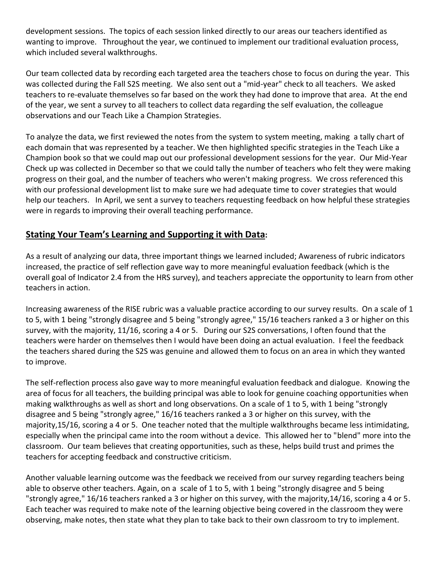development sessions. The topics of each session linked directly to our areas our teachers identified as wanting to improve. Throughout the year, we continued to implement our traditional evaluation process, which included several walkthroughs.

Our team collected data by recording each targeted area the teachers chose to focus on during the year. This was collected during the Fall S2S meeting. We also sent out a "mid-year" check to all teachers. We asked teachers to re-evaluate themselves so far based on the work they had done to improve that area. At the end of the year, we sent a survey to all teachers to collect data regarding the self evaluation, the colleague observations and our Teach Like a Champion Strategies.

To analyze the data, we first reviewed the notes from the system to system meeting, making a tally chart of each domain that was represented by a teacher. We then highlighted specific strategies in the Teach Like a Champion book so that we could map out our professional development sessions for the year. Our Mid-Year Check up was collected in December so that we could tally the number of teachers who felt they were making progress on their goal, and the number of teachers who weren't making progress. We cross referenced this with our professional development list to make sure we had adequate time to cover strategies that would help our teachers. In April, we sent a survey to teachers requesting feedback on how helpful these strategies were in regards to improving their overall teaching performance.

### **Stating Your Team's Learning and Supporting it with Data:**

As a result of analyzing our data, three important things we learned included; Awareness of rubric indicators increased, the practice of self reflection gave way to more meaningful evaluation feedback (which is the overall goal of Indicator 2.4 from the HRS survey), and teachers appreciate the opportunity to learn from other teachers in action.

Increasing awareness of the RISE rubric was a valuable practice according to our survey results. On a scale of 1 to 5, with 1 being "strongly disagree and 5 being "strongly agree," 15/16 teachers ranked a 3 or higher on this survey, with the majority, 11/16, scoring a 4 or 5. During our S2S conversations, I often found that the teachers were harder on themselves then I would have been doing an actual evaluation. I feel the feedback the teachers shared during the S2S was genuine and allowed them to focus on an area in which they wanted to improve.

The self-reflection process also gave way to more meaningful evaluation feedback and dialogue. Knowing the area of focus for all teachers, the building principal was able to look for genuine coaching opportunities when making walkthroughs as well as short and long observations. On a scale of 1 to 5, with 1 being "strongly disagree and 5 being "strongly agree," 16/16 teachers ranked a 3 or higher on this survey, with the majority,15/16, scoring a 4 or 5. One teacher noted that the multiple walkthroughs became less intimidating, especially when the principal came into the room without a device. This allowed her to "blend" more into the classroom. Our team believes that creating opportunities, such as these, helps build trust and primes the teachers for accepting feedback and constructive criticism.

Another valuable learning outcome was the feedback we received from our survey regarding teachers being able to observe other teachers. Again, on a scale of 1 to 5, with 1 being "strongly disagree and 5 being "strongly agree," 16/16 teachers ranked a 3 or higher on this survey, with the majority,14/16, scoring a 4 or 5. Each teacher was required to make note of the learning objective being covered in the classroom they were observing, make notes, then state what they plan to take back to their own classroom to try to implement.